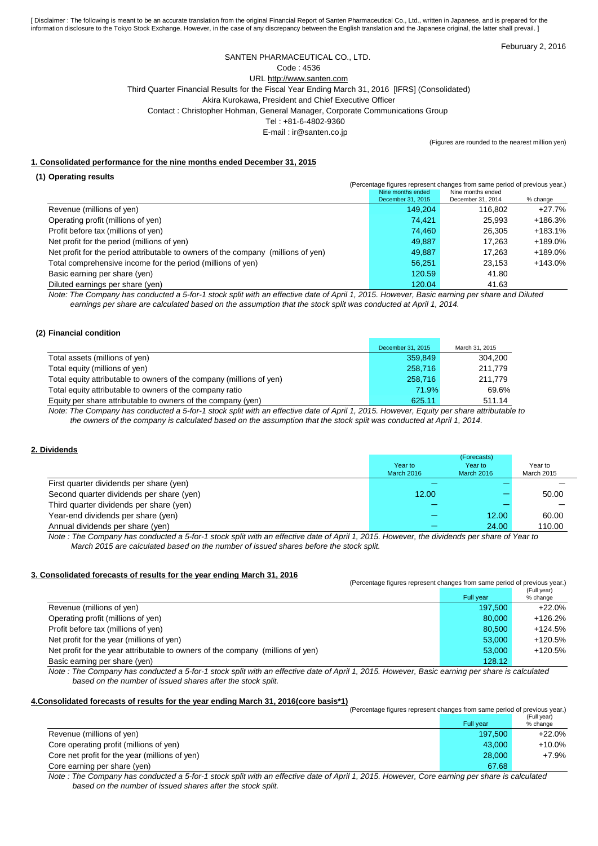[ Disclaimer : The following is meant to be an accurate translation from the original Financial Report of Santen Pharmaceutical Co., Ltd., written in Japanese, and is prepared for the information disclosure to the Tokyo Stock Exchange. However, in the case of any discrepancy between the English translation and the Japanese original, the latter shall prevail. ]

Feburuary 2, 2016

### SANTEN PHARMACEUTICAL CO., LTD.

Code : 4536

URL http://www.santen.com Third Quarter Financial Results for the Fiscal Year Ending March 31, 2016 [IFRS] (Consolidated)

Akira Kurokawa, President and Chief Executive Officer

Contact : Christopher Hohman, General Manager, Corporate Communications Group

Tel : +81-6-4802-9360

E-mail : ir@santen.co.jp

(Figures are rounded to the nearest million yen)

### **1. Consolidated performance for the nine months ended December 31, 2015**

#### **(1) Operating results**

|                                                                                   | (Percentage figures represent changes from same period of previous year.)<br>Nine months ended<br>Nine months ended |                   |            |  |  |
|-----------------------------------------------------------------------------------|---------------------------------------------------------------------------------------------------------------------|-------------------|------------|--|--|
|                                                                                   | December 31, 2015                                                                                                   | December 31, 2014 | % change   |  |  |
| Revenue (millions of yen)                                                         | 149.204                                                                                                             | 116.802           | +27.7%     |  |  |
| Operating profit (millions of yen)                                                | 74,421                                                                                                              | 25.993            | $+186.3%$  |  |  |
| Profit before tax (millions of yen)                                               | 74,460                                                                                                              | 26.305            | $+183.1%$  |  |  |
| Net profit for the period (millions of yen)                                       | 49.887                                                                                                              | 17.263            | +189.0%    |  |  |
| Net profit for the period attributable to owners of the company (millions of yen) | 49.887                                                                                                              | 17.263            | $+189.0\%$ |  |  |
| Total comprehensive income for the period (millions of yen)                       | 56,251                                                                                                              | 23.153            | $+143.0%$  |  |  |
| Basic earning per share (yen)                                                     | 120.59                                                                                                              | 41.80             |            |  |  |
| Diluted earnings per share (yen)                                                  | 120.04                                                                                                              | 41.63             |            |  |  |

*Note: The Company has conducted a 5-for-1 stock split with an effective date of April 1, 2015. However, Basic earning per share and Diluted earnings per share are calculated based on the assumption that the stock split was conducted at April 1, 2014.*

#### **(2) Financial condition**

|                                                                      | December 31, 2015 | March 31, 2015 |
|----------------------------------------------------------------------|-------------------|----------------|
| Total assets (millions of yen)                                       | 359.849           | 304.200        |
| Total equity (millions of yen)                                       | 258,716           | 211.779        |
| Total equity attributable to owners of the company (millions of yen) | 258,716           | 211.779        |
| Total equity attributable to owners of the company ratio             | 71.9%             | 69.6%          |
| Equity per share attributable to owners of the company (yen)         | 625.11            | 511.14         |

*Note: The Company has conducted a 5-for-1 stock split with an effective date of April 1, 2015. However, Equity per share attributable to the owners of the company is calculated based on the assumption that the stock split was conducted at April 1, 2014.*

#### **2. Dividends**

|                                                  |            | (Forecasts) |               |
|--------------------------------------------------|------------|-------------|---------------|
|                                                  | Year to    | Year to     | Year to       |
|                                                  | March 2016 | March 2016  | March 2015    |
| First quarter dividends per share (yen)          |            |             |               |
| Second quarter dividends per share (yen)         | 12.00      |             | 50.00         |
| Third quarter dividends per share (yen)          |            |             |               |
| Year-end dividends per share (yen)               |            | 12.00       | 60.00         |
| Annual dividends per share (yen)                 |            | 24.00       | 110.00        |
| $-$<br>$\cdots$<br>.<br>- -<br>$\cdots$ $\cdots$ |            |             | $\sim$ $\sim$ |

*Note : The Company has conducted a 5-for-1 stock split with an effective date of April 1, 2015. However, the dividends per share of Year to March 2015 are calculated based on the number of issued shares before the stock split.*

### **3. Consolidated forecasts of results for the year ending March 31, 2016**

|                                                                                 | (Percentage figures represent changes from same period of previous year.) |             |  |
|---------------------------------------------------------------------------------|---------------------------------------------------------------------------|-------------|--|
|                                                                                 |                                                                           | (Full year) |  |
|                                                                                 | Full year                                                                 | % change    |  |
| Revenue (millions of yen)                                                       | 197.500                                                                   | $+22.0%$    |  |
| Operating profit (millions of yen)                                              | 80,000                                                                    | $+126.2%$   |  |
| Profit before tax (millions of yen)                                             | 80.500                                                                    | $+124.5%$   |  |
| Net profit for the year (millions of yen)                                       | 53.000                                                                    | $+120.5%$   |  |
| Net profit for the year attributable to owners of the company (millions of yen) | 53,000                                                                    | $+120.5%$   |  |
| Basic earning per share (yen)                                                   | 128.12                                                                    |             |  |

*Note : The Company has conducted a 5-for-1 stock split with an effective date of April 1, 2015. However, Basic earning per share is calculated based on the number of issued shares after the stock split.*

### **4.Consolidated forecasts of results for the year ending March 31, 2016(core basis\*1)**

| (Percentage figures represent changes from same period of previous year.) |           |             |
|---------------------------------------------------------------------------|-----------|-------------|
|                                                                           |           | (Full year) |
|                                                                           | Full year | % change    |
| Revenue (millions of yen)                                                 | 197.500   | +22.0%      |
| Core operating profit (millions of yen)                                   | 43.000    | +10.0%      |
| Core net profit for the year (millions of yen)                            | 28,000    | $+7.9\%$    |
| Core earning per share (yen)                                              | 67.68     |             |

*Note : The Company has conducted a 5-for-1 stock split with an effective date of April 1, 2015. However, Core earning per share is calculated based on the number of issued shares after the stock split.*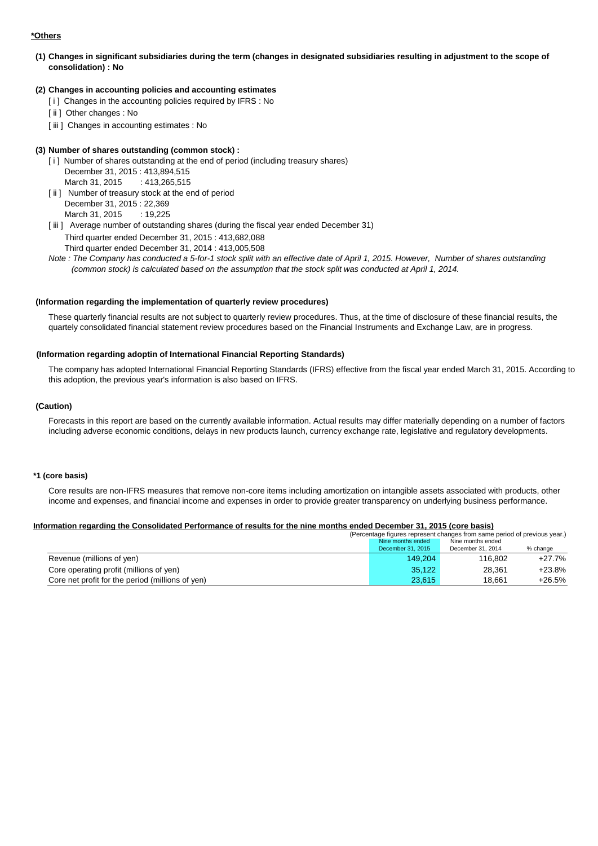### **\*Others**

**(1) Changes in significant subsidiaries during the term (changes in designated subsidiaries resulting in adjustment to the scope of consolidation) : No**

### **(2) Changes in accounting policies and accounting estimates**

- [i] Changes in the accounting policies required by IFRS : No
- [ii] Other changes : No
- [iii] Changes in accounting estimates : No

### **(3) Number of shares outstanding (common stock) :**

- [i] Number of shares outstanding at the end of period (including treasury shares) December 31, 2015 : 413,894,515
	- March 31, 2015 : 413, 265, 515
- [ii] Number of treasury stock at the end of period December 31, 2015 : 22,369

March 31, 2015 : 19,225

[iii] Average number of outstanding shares (during the fiscal year ended December 31) Third quarter ended December 31, 2015 : 413,682,088

Third quarter ended December 31, 2014 : 413,005,508

*Note : The Company has conducted a 5-for-1 stock split with an effective date of April 1, 2015. However, Number of shares outstanding (common stock) is calculated based on the assumption that the stock split was conducted at April 1, 2014.*

### **(Information regarding the implementation of quarterly review procedures)**

These quarterly financial results are not subject to quarterly review procedures. Thus, at the time of disclosure of these financial results, the quartely consolidated financial statement review procedures based on the Financial Instruments and Exchange Law, are in progress.

#### **(Information regarding adoptin of International Financial Reporting Standards)**

The company has adopted International Financial Reporting Standards (IFRS) effective from the fiscal year ended March 31, 2015. According to this adoption, the previous year's information is also based on IFRS.

#### **(Caution)**

Forecasts in this report are based on the currently available information. Actual results may differ materially depending on a number of factors including adverse economic conditions, delays in new products launch, currency exchange rate, legislative and regulatory developments.

#### **\*1 (core basis)**

Core results are non-IFRS measures that remove non-core items including amortization on intangible assets associated with products, other income and expenses, and financial income and expenses in order to provide greater transparency on underlying business performance.

#### **Information regarding the Consolidated Performance of results for the nine months ended December 31, 2015 (core basis)**

|                                                  | (Percentage figures represent changes from same period of previous year.) |                   |          |  |
|--------------------------------------------------|---------------------------------------------------------------------------|-------------------|----------|--|
|                                                  | Nine months ended                                                         |                   |          |  |
|                                                  | December 31, 2015                                                         | December 31, 2014 | % change |  |
| Revenue (millions of yen)                        | 149.204                                                                   | 116.802           | $+27.7%$ |  |
| Core operating profit (millions of yen)          | 35.122                                                                    | 28.361            | $+23.8%$ |  |
| Core net profit for the period (millions of yen) | 23.615                                                                    | 18.661            | $+26.5%$ |  |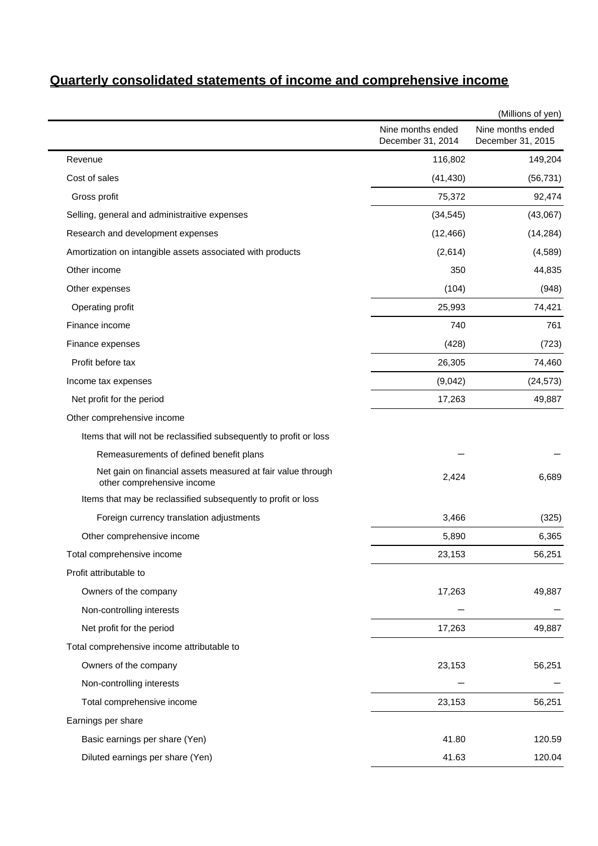# **Quarterly consolidated statements of income and comprehensive income**

|                                                                                           |                                        | (Millions of yen)                      |
|-------------------------------------------------------------------------------------------|----------------------------------------|----------------------------------------|
|                                                                                           | Nine months ended<br>December 31, 2014 | Nine months ended<br>December 31, 2015 |
| Revenue                                                                                   | 116,802                                | 149,204                                |
| Cost of sales                                                                             | (41, 430)                              | (56, 731)                              |
| Gross profit                                                                              | 75,372                                 | 92,474                                 |
| Selling, general and administraitive expenses                                             | (34, 545)                              | (43,067)                               |
| Research and development expenses                                                         | (12, 466)                              | (14, 284)                              |
| Amortization on intangible assets associated with products                                | (2,614)                                | (4, 589)                               |
| Other income                                                                              | 350                                    | 44,835                                 |
| Other expenses                                                                            | (104)                                  | (948)                                  |
| Operating profit                                                                          | 25,993                                 | 74,421                                 |
| Finance income                                                                            | 740                                    | 761                                    |
| Finance expenses                                                                          | (428)                                  | (723)                                  |
| Profit before tax                                                                         | 26,305                                 | 74,460                                 |
| Income tax expenses                                                                       | (9,042)                                | (24, 573)                              |
| Net profit for the period                                                                 | 17,263                                 | 49,887                                 |
| Other comprehensive income                                                                |                                        |                                        |
| Items that will not be reclassified subsequently to profit or loss                        |                                        |                                        |
| Remeasurements of defined benefit plans                                                   |                                        |                                        |
| Net gain on financial assets measured at fair value through<br>other comprehensive income | 2,424                                  | 6,689                                  |
| Items that may be reclassified subsequently to profit or loss                             |                                        |                                        |
| Foreign currency translation adjustments                                                  | 3,466                                  | (325)                                  |
| Other comprehensive income                                                                | 5,890                                  | 6,365                                  |
| Total comprehensive income                                                                | 23,153                                 | 56,251                                 |
| Profit attributable to                                                                    |                                        |                                        |
| Owners of the company                                                                     | 17,263                                 | 49,887                                 |
| Non-controlling interests                                                                 |                                        |                                        |
| Net profit for the period                                                                 | 17,263                                 | 49,887                                 |
| Total comprehensive income attributable to                                                |                                        |                                        |
| Owners of the company                                                                     | 23,153                                 | 56,251                                 |
| Non-controlling interests                                                                 |                                        |                                        |
| Total comprehensive income                                                                | 23,153                                 | 56,251                                 |
| Earnings per share                                                                        |                                        |                                        |
| Basic earnings per share (Yen)                                                            | 41.80                                  | 120.59                                 |
| Diluted earnings per share (Yen)                                                          | 41.63                                  | 120.04                                 |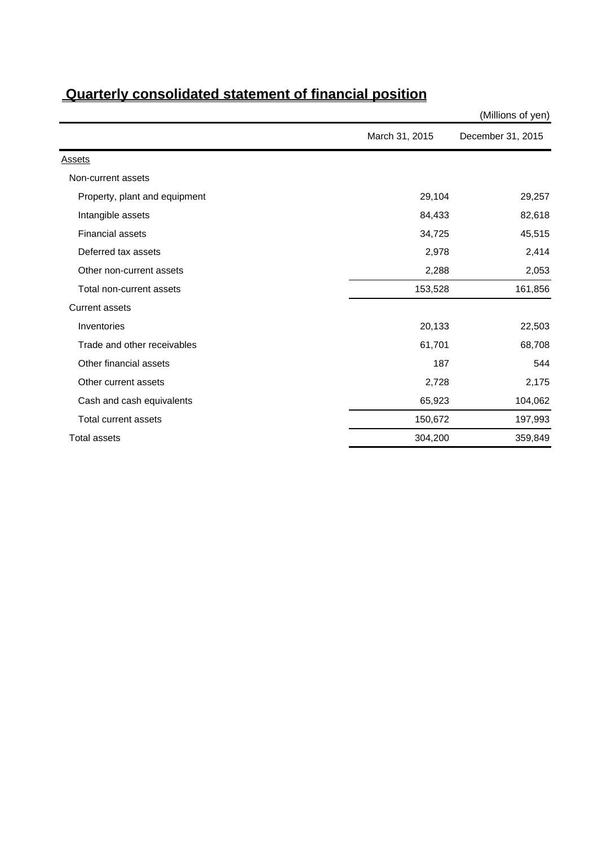|                               |                | (Millions of yen) |
|-------------------------------|----------------|-------------------|
|                               | March 31, 2015 | December 31, 2015 |
| <b>Assets</b>                 |                |                   |
| Non-current assets            |                |                   |
| Property, plant and equipment | 29,104         | 29,257            |
| Intangible assets             | 84,433         | 82,618            |
| <b>Financial assets</b>       | 34,725         | 45,515            |
| Deferred tax assets           | 2,978          | 2,414             |
| Other non-current assets      | 2,288          | 2,053             |
| Total non-current assets      | 153,528        | 161,856           |
| <b>Current assets</b>         |                |                   |
| Inventories                   | 20,133         | 22,503            |
| Trade and other receivables   | 61,701         | 68,708            |
| Other financial assets        | 187            | 544               |
| Other current assets          | 2,728          | 2,175             |
| Cash and cash equivalents     | 65,923         | 104,062           |
| Total current assets          | 150,672        | 197,993           |
| <b>Total assets</b>           | 304,200        | 359,849           |

# **Quarterly consolidated statement of financial position**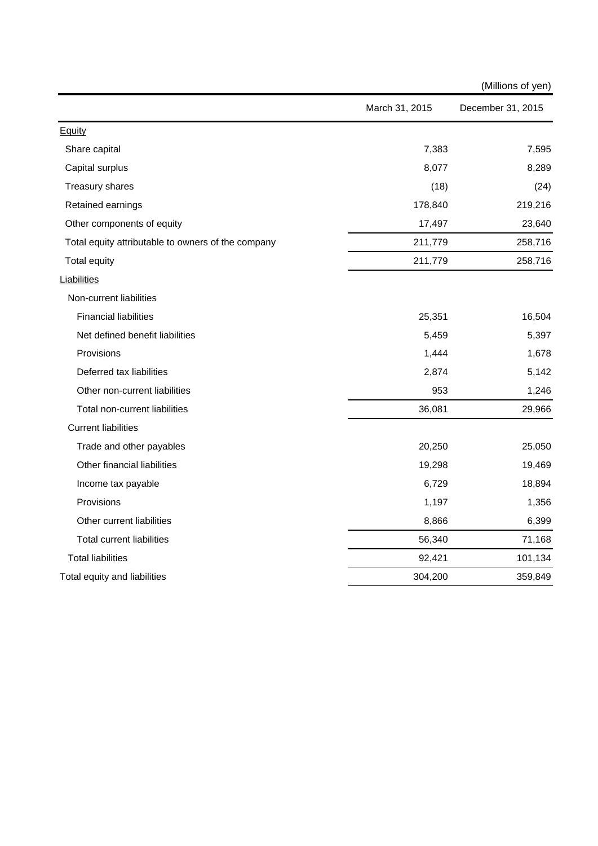|                                                    |                | (Millions of yen) |
|----------------------------------------------------|----------------|-------------------|
|                                                    | March 31, 2015 | December 31, 2015 |
| <b>Equity</b>                                      |                |                   |
| Share capital                                      | 7,383          | 7,595             |
| Capital surplus                                    | 8,077          | 8,289             |
| Treasury shares                                    | (18)           | (24)              |
| Retained earnings                                  | 178,840        | 219,216           |
| Other components of equity                         | 17,497         | 23,640            |
| Total equity attributable to owners of the company | 211,779        | 258,716           |
| <b>Total equity</b>                                | 211,779        | 258,716           |
| Liabilities                                        |                |                   |
| Non-current liabilities                            |                |                   |
| <b>Financial liabilities</b>                       | 25,351         | 16,504            |
| Net defined benefit liabilities                    | 5,459          | 5,397             |
| Provisions                                         | 1,444          | 1,678             |
| Deferred tax liabilities                           | 2,874          | 5,142             |
| Other non-current liabilities                      | 953            | 1,246             |
| Total non-current liabilities                      | 36,081         | 29,966            |
| <b>Current liabilities</b>                         |                |                   |
| Trade and other payables                           | 20,250         | 25,050            |
| Other financial liabilities                        | 19,298         | 19,469            |
| Income tax payable                                 | 6,729          | 18,894            |
| Provisions                                         | 1,197          | 1,356             |
| Other current liabilities                          | 8,866          | 6,399             |
| <b>Total current liabilities</b>                   | 56,340         | 71,168            |
| <b>Total liabilities</b>                           | 92,421         | 101,134           |
| Total equity and liabilities                       | 304,200        | 359,849           |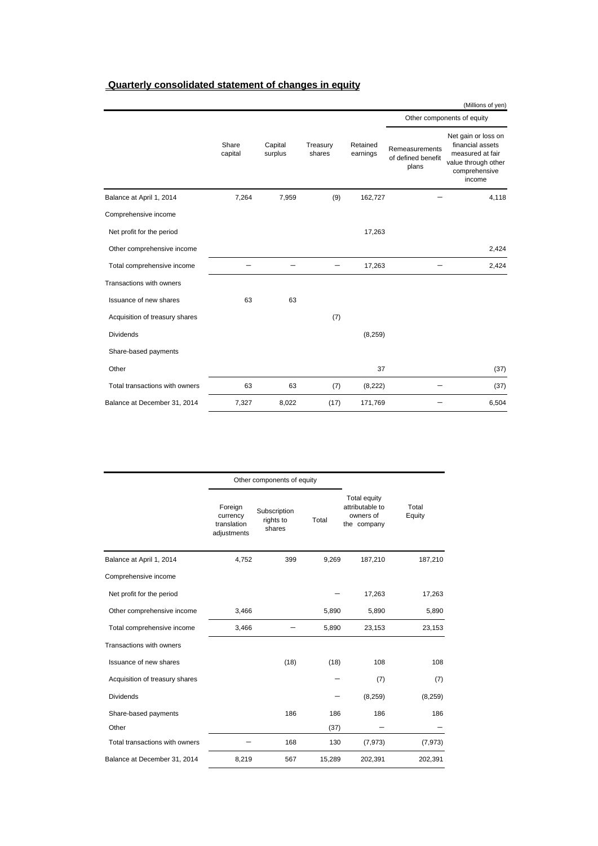### **Quarterly consolidated statement of changes in equity**

|                                |                  |                    |                    |                      |                                               | (Millions of yen)                                                                                             |
|--------------------------------|------------------|--------------------|--------------------|----------------------|-----------------------------------------------|---------------------------------------------------------------------------------------------------------------|
|                                |                  |                    |                    |                      | Other components of equity                    |                                                                                                               |
|                                | Share<br>capital | Capital<br>surplus | Treasury<br>shares | Retained<br>earnings | Remeasurements<br>of defined benefit<br>plans | Net gain or loss on<br>financial assets<br>measured at fair<br>value through other<br>comprehensive<br>income |
| Balance at April 1, 2014       | 7,264            | 7,959              | (9)                | 162,727              |                                               | 4,118                                                                                                         |
| Comprehensive income           |                  |                    |                    |                      |                                               |                                                                                                               |
| Net profit for the period      |                  |                    |                    | 17,263               |                                               |                                                                                                               |
| Other comprehensive income     |                  |                    |                    |                      |                                               | 2,424                                                                                                         |
| Total comprehensive income     |                  |                    |                    | 17,263               |                                               | 2,424                                                                                                         |
| Transactions with owners       |                  |                    |                    |                      |                                               |                                                                                                               |
| Issuance of new shares         | 63               | 63                 |                    |                      |                                               |                                                                                                               |
| Acquisition of treasury shares |                  |                    | (7)                |                      |                                               |                                                                                                               |
| <b>Dividends</b>               |                  |                    |                    | (8, 259)             |                                               |                                                                                                               |
| Share-based payments           |                  |                    |                    |                      |                                               |                                                                                                               |
| Other                          |                  |                    |                    | 37                   |                                               | (37)                                                                                                          |
| Total transactions with owners | 63               | 63                 | (7)                | (8,222)              |                                               | (37)                                                                                                          |
| Balance at December 31, 2014   | 7,327            | 8,022              | (17)               | 171,769              |                                               | 6,504                                                                                                         |

|                                |                                                   | Other components of equity          |        |                                                                    |                 |
|--------------------------------|---------------------------------------------------|-------------------------------------|--------|--------------------------------------------------------------------|-----------------|
|                                | Foreign<br>currency<br>translation<br>adjustments | Subscription<br>rights to<br>shares | Total  | <b>Total equity</b><br>attributable to<br>owners of<br>the company | Total<br>Equity |
| Balance at April 1, 2014       | 4,752                                             | 399                                 | 9,269  | 187,210                                                            | 187,210         |
| Comprehensive income           |                                                   |                                     |        |                                                                    |                 |
| Net profit for the period      |                                                   |                                     |        | 17,263                                                             | 17,263          |
| Other comprehensive income     | 3,466                                             |                                     | 5,890  | 5,890                                                              | 5,890           |
| Total comprehensive income     | 3,466                                             |                                     | 5,890  | 23,153                                                             | 23,153          |
| Transactions with owners       |                                                   |                                     |        |                                                                    |                 |
| Issuance of new shares         |                                                   | (18)                                | (18)   | 108                                                                | 108             |
| Acquisition of treasury shares |                                                   |                                     |        | (7)                                                                | (7)             |
| <b>Dividends</b>               |                                                   |                                     |        | (8, 259)                                                           | (8,259)         |
| Share-based payments           |                                                   | 186                                 | 186    | 186                                                                | 186             |
| Other                          |                                                   |                                     | (37)   |                                                                    |                 |
| Total transactions with owners |                                                   | 168                                 | 130    | (7, 973)                                                           | (7, 973)        |
| Balance at December 31, 2014   | 8,219                                             | 567                                 | 15,289 | 202,391                                                            | 202,391         |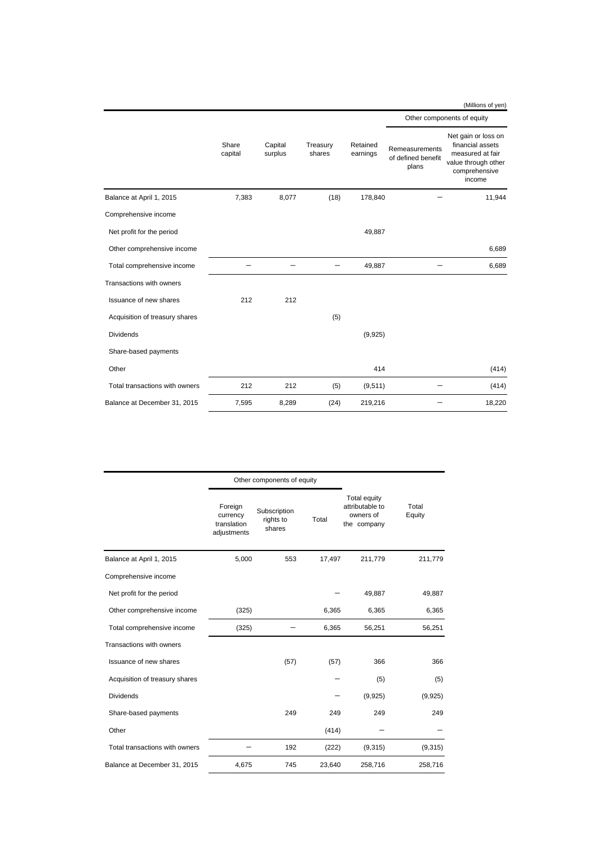#### (Millions of yen) Remeasurements of defined benefit plans Net gain or loss on financial assets measured at fair value through other comprehensive income Balance at April 1, 2015 **7,383** 8,077 (18) 178,840 - 11,944 Comprehensive income Net profit for the period 49,887 Other comprehensive income 6,689 Total comprehensive income  $49,887$   $6,689$ Transactions with owners Issuance of new shares 212 212 Acquisition of treasury shares (5) Dividends (9,925) Share-based payments Other  $414$  (414) Total transactions with owners  $212$   $212$   $(5)$   $(9,511)$   $(414)$ Share capital Capital surplus Treasury shares Retained earnings Other components of equity

Balance at December 31, 2015 7,595 8,289 (24) 219,216 - 18,220

|                                |                                                   | Other components of equity          |        |                                                             |                 |
|--------------------------------|---------------------------------------------------|-------------------------------------|--------|-------------------------------------------------------------|-----------------|
|                                | Foreign<br>currency<br>translation<br>adjustments | Subscription<br>rights to<br>shares | Total  | Total equity<br>attributable to<br>owners of<br>the company | Total<br>Equity |
| Balance at April 1, 2015       | 5,000                                             | 553                                 | 17,497 | 211,779                                                     | 211,779         |
| Comprehensive income           |                                                   |                                     |        |                                                             |                 |
| Net profit for the period      |                                                   |                                     |        | 49,887                                                      | 49,887          |
| Other comprehensive income     | (325)                                             |                                     | 6,365  | 6,365                                                       | 6,365           |
| Total comprehensive income     | (325)                                             |                                     | 6,365  | 56,251                                                      | 56,251          |
| Transactions with owners       |                                                   |                                     |        |                                                             |                 |
| Issuance of new shares         |                                                   | (57)                                | (57)   | 366                                                         | 366             |
| Acquisition of treasury shares |                                                   |                                     |        | (5)                                                         | (5)             |
| <b>Dividends</b>               |                                                   |                                     |        | (9,925)                                                     | (9,925)         |
| Share-based payments           |                                                   | 249                                 | 249    | 249                                                         | 249             |
| Other                          |                                                   |                                     | (414)  |                                                             |                 |
| Total transactions with owners |                                                   | 192                                 | (222)  | (9,315)                                                     | (9,315)         |
| Balance at December 31, 2015   | 4,675                                             | 745                                 | 23,640 | 258,716                                                     | 258,716         |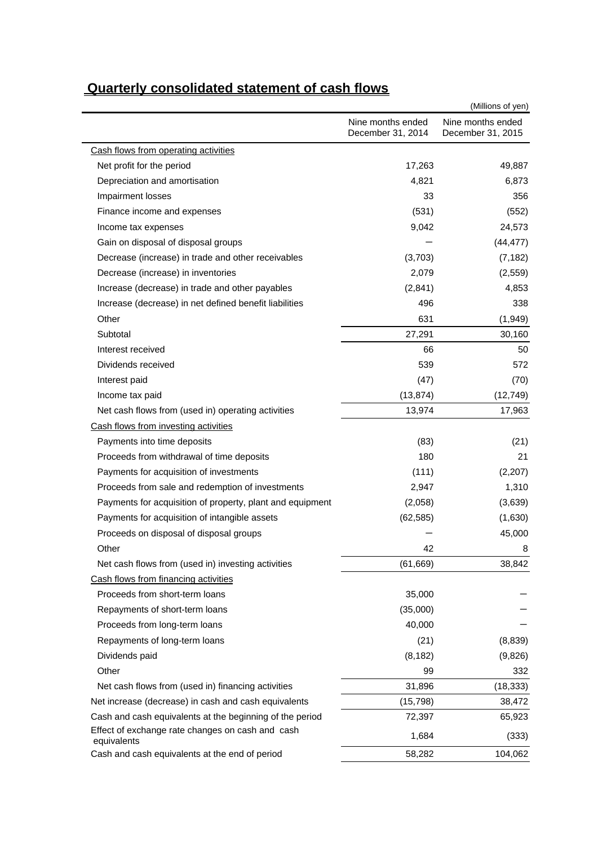|                                                                 | (Millions of yen)                      |                                        |  |  |  |
|-----------------------------------------------------------------|----------------------------------------|----------------------------------------|--|--|--|
|                                                                 | Nine months ended<br>December 31, 2014 | Nine months ended<br>December 31, 2015 |  |  |  |
| Cash flows from operating activities                            |                                        |                                        |  |  |  |
| Net profit for the period                                       | 17,263                                 | 49,887                                 |  |  |  |
| Depreciation and amortisation                                   | 4,821                                  | 6,873                                  |  |  |  |
| Impairment losses                                               | 33                                     | 356                                    |  |  |  |
| Finance income and expenses                                     | (531)                                  | (552)                                  |  |  |  |
| Income tax expenses                                             | 9,042                                  | 24,573                                 |  |  |  |
| Gain on disposal of disposal groups                             |                                        | (44, 477)                              |  |  |  |
| Decrease (increase) in trade and other receivables              | (3,703)                                | (7, 182)                               |  |  |  |
| Decrease (increase) in inventories                              | 2,079                                  | (2, 559)                               |  |  |  |
| Increase (decrease) in trade and other payables                 | (2,841)                                | 4,853                                  |  |  |  |
| Increase (decrease) in net defined benefit liabilities          | 496                                    | 338                                    |  |  |  |
| Other                                                           | 631                                    | (1, 949)                               |  |  |  |
| Subtotal                                                        | 27,291                                 | 30,160                                 |  |  |  |
| Interest received                                               | 66                                     | 50                                     |  |  |  |
| Dividends received                                              | 539                                    | 572                                    |  |  |  |
| Interest paid                                                   | (47)                                   | (70)                                   |  |  |  |
| Income tax paid                                                 | (13, 874)                              | (12, 749)                              |  |  |  |
| Net cash flows from (used in) operating activities              | 13,974                                 | 17,963                                 |  |  |  |
| Cash flows from investing activities                            |                                        |                                        |  |  |  |
| Payments into time deposits                                     | (83)                                   | (21)                                   |  |  |  |
| Proceeds from withdrawal of time deposits                       | 180                                    | 21                                     |  |  |  |
| Payments for acquisition of investments                         | (111)                                  | (2,207)                                |  |  |  |
| Proceeds from sale and redemption of investments                | 2,947                                  | 1,310                                  |  |  |  |
| Payments for acquisition of property, plant and equipment       | (2,058)                                | (3,639)                                |  |  |  |
| Payments for acquisition of intangible assets                   | (62, 585)                              | (1,630)                                |  |  |  |
| Proceeds on disposal of disposal groups                         |                                        | 45,000                                 |  |  |  |
| Other                                                           | 42                                     | 8                                      |  |  |  |
| Net cash flows from (used in) investing activities              | (61, 669)                              | 38,842                                 |  |  |  |
| Cash flows from financing activities                            |                                        |                                        |  |  |  |
| Proceeds from short-term loans                                  | 35,000                                 |                                        |  |  |  |
| Repayments of short-term loans                                  | (35,000)                               |                                        |  |  |  |
| Proceeds from long-term loans                                   | 40,000                                 |                                        |  |  |  |
| Repayments of long-term loans                                   | (21)                                   | (8,839)                                |  |  |  |
| Dividends paid                                                  | (8, 182)                               | (9,826)                                |  |  |  |
| Other                                                           | 99                                     | 332                                    |  |  |  |
| Net cash flows from (used in) financing activities              | 31,896                                 | (18, 333)                              |  |  |  |
| Net increase (decrease) in cash and cash equivalents            | (15,798)                               | 38,472                                 |  |  |  |
| Cash and cash equivalents at the beginning of the period        | 72,397                                 | 65,923                                 |  |  |  |
| Effect of exchange rate changes on cash and cash<br>equivalents | 1,684                                  | (333)                                  |  |  |  |
| Cash and cash equivalents at the end of period                  | 58,282                                 | 104,062                                |  |  |  |

# **Quarterly consolidated statement of cash flows**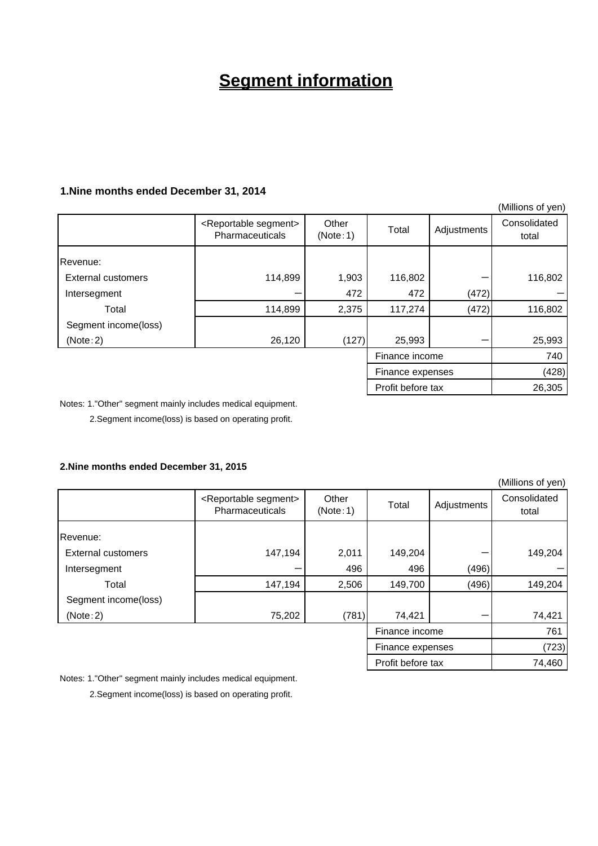# **Segment information**

### **1.Nine months ended December 31, 2014**

|                           |                                                          |                   |                   |             | (Millions of yen)     |
|---------------------------|----------------------------------------------------------|-------------------|-------------------|-------------|-----------------------|
|                           | <reportable segment=""><br/>Pharmaceuticals</reportable> | Other<br>(Note:1) | Total             | Adjustments | Consolidated<br>total |
| Revenue:                  |                                                          |                   |                   |             |                       |
| <b>External customers</b> | 114,899                                                  | 1,903             | 116,802           |             | 116,802               |
| Intersegment              |                                                          | 472               | 472               | (472)       |                       |
| Total                     | 114,899                                                  | 2,375             | 117,274           | (472)       | 116,802               |
| Segment income(loss)      |                                                          |                   |                   |             |                       |
| (Note:2)                  | 26,120                                                   | (127)             | 25,993            |             | 25,993                |
|                           |                                                          |                   | Finance income    |             | 740                   |
|                           |                                                          |                   | Finance expenses  |             | (428)                 |
|                           |                                                          |                   | Profit before tax |             | 26,305                |

Notes: 1."Other" segment mainly includes medical equipment.

2.Segment income(loss) is based on operating profit.

### **2.Nine months ended December 31, 2015**

|                           |                                                          |                   |                   |             | (Millions of yen)     |
|---------------------------|----------------------------------------------------------|-------------------|-------------------|-------------|-----------------------|
|                           | <reportable segment=""><br/>Pharmaceuticals</reportable> | Other<br>(Note:1) | Total             | Adjustments | Consolidated<br>total |
| Revenue:                  |                                                          |                   |                   |             |                       |
| <b>External customers</b> | 147,194                                                  | 2,011             | 149,204           |             | 149,204               |
| Intersegment              |                                                          | 496               | 496               | (496)       |                       |
| Total                     | 147,194                                                  | 2,506             | 149,700           | (496)       | 149,204               |
| Segment income(loss)      |                                                          |                   |                   |             |                       |
| (Note:2)                  | 75,202                                                   | (781)             | 74,421            |             | 74,421                |
|                           |                                                          |                   | Finance income    |             | 761                   |
|                           |                                                          |                   | Finance expenses  |             | (723)                 |
|                           |                                                          |                   | Profit before tax |             | 74,460                |

Notes: 1."Other" segment mainly includes medical equipment.

2.Segment income(loss) is based on operating profit.

 $(M)$ illions of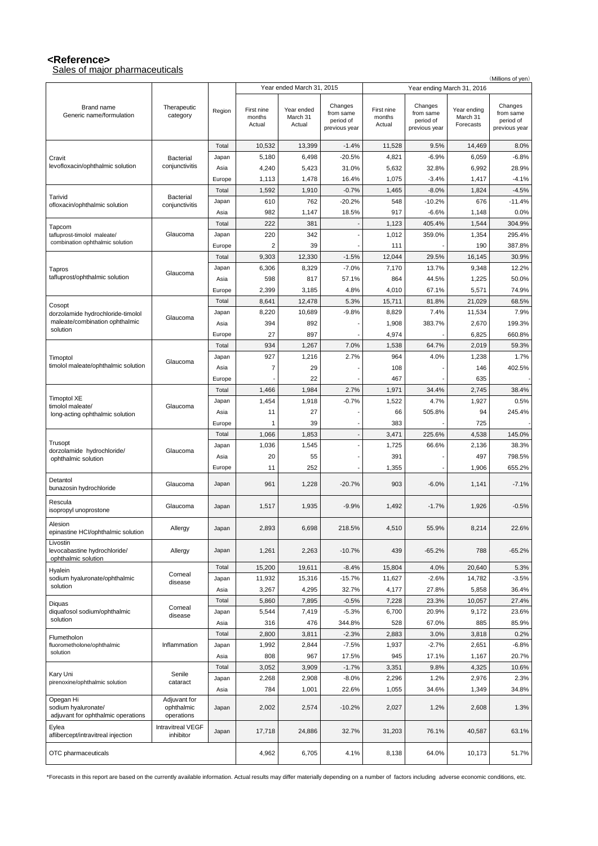### **<Reference>**

Sales of major pharmaceuticals

|                                                                        |                                          |               |                                |                                  |                                                    |                                |                                                    |                                      | (Millions of yen)                                  |
|------------------------------------------------------------------------|------------------------------------------|---------------|--------------------------------|----------------------------------|----------------------------------------------------|--------------------------------|----------------------------------------------------|--------------------------------------|----------------------------------------------------|
|                                                                        |                                          |               |                                | Year ended March 31, 2015        |                                                    |                                |                                                    | Year ending March 31, 2016           |                                                    |
| Brand name<br>Generic name/formulation                                 | Therapeutic<br>category                  | Region        | First nine<br>months<br>Actual | Year ended<br>March 31<br>Actual | Changes<br>from same<br>period of<br>previous year | First nine<br>months<br>Actual | Changes<br>from same<br>period of<br>previous year | Year ending<br>March 31<br>Forecasts | Changes<br>from same<br>period of<br>previous year |
|                                                                        |                                          |               |                                |                                  |                                                    |                                |                                                    |                                      |                                                    |
|                                                                        |                                          | Total         | 10,532                         | 13,399                           | $-1.4%$                                            | 11,528                         | 9.5%                                               | 14,469                               | 8.0%                                               |
| Cravit<br>levofloxacin/ophthalmic solution                             | Bacterial<br>conjunctivitis              | Japan         | 5,180                          | 6,498                            | $-20.5%$                                           | 4,821                          | $-6.9%$                                            | 6,059                                | $-6.8%$                                            |
|                                                                        |                                          | Asia          | 4,240                          | 5,423                            | 31.0%                                              | 5,632                          | 32.8%                                              | 6,992                                | 28.9%                                              |
|                                                                        |                                          | Europe        | 1,113                          | 1,478                            | 16.4%<br>$-0.7%$                                   | 1,075                          | $-3.4%$<br>$-8.0%$                                 | 1,417                                | $-4.1%$<br>$-4.5%$                                 |
| Tarivid                                                                | Bacterial                                | Total         | 1,592<br>610                   | 1,910<br>762                     | $-20.2%$                                           | 1,465<br>548                   | $-10.2%$                                           | 1,824<br>676                         | $-11.4%$                                           |
| ofloxacin/ophthalmic solution                                          | conjunctivitis                           | Japan<br>Asia | 982                            | 1,147                            | 18.5%                                              | 917                            | $-6.6%$                                            | 1,148                                | 0.0%                                               |
|                                                                        |                                          | Total         | 222                            | 381                              |                                                    | 1,123                          | 405.4%                                             | 1,544                                | 304.9%                                             |
| Tapcom<br>tafluprost-timolol maleate/                                  | Glaucoma                                 | Japan         | 220                            | 342                              |                                                    | 1,012                          | 359.0%                                             | 1,354                                | 295.4%                                             |
| combination ophthalmic solution                                        |                                          | Europe        | $\overline{2}$                 | 39                               |                                                    | 111                            |                                                    | 190                                  | 387.8%                                             |
|                                                                        |                                          | Total         | 9,303                          | 12,330                           | $-1.5%$                                            | 12,044                         | 29.5%                                              | 16,145                               | 30.9%                                              |
| Tapros                                                                 |                                          | Japan         | 6,306                          | 8,329                            | $-7.0%$                                            | 7,170                          | 13.7%                                              | 9,348                                | 12.2%                                              |
| tafluprost/ophthalmic solution                                         | Glaucoma                                 | Asia          | 598                            | 817                              | 57.1%                                              | 864                            | 44.5%                                              | 1,225                                | 50.0%                                              |
|                                                                        |                                          | Europe        | 2,399                          | 3,185                            | 4.8%                                               | 4,010                          | 67.1%                                              | 5,571                                | 74.9%                                              |
|                                                                        |                                          | Total         | 8,641                          | 12,478                           | 5.3%                                               | 15,711                         | 81.8%                                              | 21,029                               | 68.5%                                              |
| Cosopt<br>dorzolamide hydrochloride-timolol                            |                                          | Japan         | 8,220                          | 10,689                           | $-9.8%$                                            | 8,829                          | 7.4%                                               | 11,534                               | 7.9%                                               |
| maleate/combination ophthalmic                                         | Glaucoma                                 | Asia          | 394                            | 892                              |                                                    | 1,908                          | 383.7%                                             | 2,670                                | 199.3%                                             |
| solution                                                               |                                          | Europe        | 27                             | 897                              |                                                    | 4,974                          |                                                    | 6,825                                | 660.8%                                             |
|                                                                        |                                          | Total         | 934                            | 1,267                            | 7.0%                                               | 1,538                          | 64.7%                                              | 2,019                                | 59.3%                                              |
| Timoptol                                                               |                                          | Japan         | 927                            | 1,216                            | 2.7%                                               | 964                            | 4.0%                                               | 1,238                                | 1.7%                                               |
| timolol maleate/ophthalmic solution                                    | Glaucoma                                 | Asia          | $\overline{7}$                 | 29                               |                                                    | 108                            |                                                    | 146                                  | 402.5%                                             |
|                                                                        |                                          | Europe        |                                | 22                               |                                                    | 467                            |                                                    | 635                                  |                                                    |
|                                                                        |                                          | Total         | 1,466                          | 1,984                            | 2.7%                                               | 1,971                          | 34.4%                                              | 2,745                                | 38.4%                                              |
| <b>Timoptol XE</b>                                                     |                                          | Japan         | 1,454                          | 1,918                            | $-0.7%$                                            | 1,522                          | 4.7%                                               | 1,927                                | 0.5%                                               |
| timolol maleate/                                                       | Glaucoma                                 | Asia          | 11                             | 27                               |                                                    | 66                             | 505.8%                                             | 94                                   | 245.4%                                             |
| long-acting ophthalmic solution                                        |                                          | Europe        | 1                              | 39                               |                                                    | 383                            |                                                    | 725                                  |                                                    |
|                                                                        |                                          | Total         | 1,066                          | 1,853                            | $\overline{\phantom{a}}$                           | 3,471                          | 225.6%                                             | 4,538                                | 145.0%                                             |
| Trusopt                                                                |                                          | Japan         | 1,036                          | 1,545                            |                                                    | 1,725                          | 66.6%                                              | 2,136                                | 38.3%                                              |
| dorzolamide hydrochloride/<br>ophthalmic solution                      | Glaucoma                                 | Asia          | 20                             | 55                               |                                                    | 391                            |                                                    | 497                                  | 798.5%                                             |
|                                                                        |                                          | Europe        | 11                             | 252                              |                                                    | 1,355                          |                                                    | 1,906                                | 655.2%                                             |
| Detantol                                                               | Glaucoma                                 |               | 961                            | 1,228                            | $-20.7%$                                           | 903                            | $-6.0%$                                            | 1,141                                | $-7.1%$                                            |
| bunazosin hydrochloride                                                |                                          | Japan         |                                |                                  |                                                    |                                |                                                    |                                      |                                                    |
| Rescula<br>isopropyl unoprostone                                       | Glaucoma                                 | Japan         | 1,517                          | 1,935                            | $-9.9%$                                            | 1,492                          | $-1.7%$                                            | 1,926                                | $-0.5%$                                            |
| Alesion<br>epinastine HCI/ophthalmic solution                          | Allergy                                  | Japan         | 2,893                          | 6,698                            | 218.5%                                             | 4,510                          | 55.9%                                              | 8,214                                | 22.6%                                              |
| Livostin<br>levocabastine hydrochloride/<br>ophthalmic solution        | Allergy                                  | Japan         | 1,261                          | 2,263                            | $-10.7%$                                           | 439                            | $-65.2%$                                           | 788                                  | $-65.2%$                                           |
| Hyalein                                                                |                                          | Total         | 15,200                         | 19,611                           | $-8.4%$                                            | 15,804                         | 4.0%                                               | 20,640                               | 5.3%                                               |
| sodium hyaluronate/ophthalmic                                          | Corneal<br>disease                       | Japan         | 11,932                         | 15,316                           | $-15.7%$                                           | 11,627                         | $-2.6%$                                            | 14,782                               | $-3.5%$                                            |
| solution                                                               |                                          | Asia          | 3,267                          | 4,295                            | 32.7%                                              | 4,177                          | 27.8%                                              | 5,858                                | 36.4%                                              |
| Diquas                                                                 |                                          | Total         | 5,860                          | 7,895                            | $-0.5%$                                            | 7,228                          | 23.3%                                              | 10,057                               | 27.4%                                              |
| diquafosol sodium/ophthalmic                                           | Corneal<br>disease                       | Japan         | 5,544                          | 7,419                            | $-5.3%$                                            | 6,700                          | 20.9%                                              | 9,172                                | 23.6%                                              |
| solution                                                               |                                          | Asia          | 316                            | 476                              | 344.8%                                             | 528                            | 67.0%                                              | 885                                  | 85.9%                                              |
| Flumetholon                                                            |                                          | Total         | 2,800                          | 3,811                            | $-2.3%$                                            | 2,883                          | 3.0%                                               | 3,818                                | 0.2%                                               |
| fluorometholone/ophthalmic                                             | Inflammation                             | Japan         | 1,992                          | 2,844                            | $-7.5%$                                            | 1,937                          | $-2.7%$                                            | 2,651                                | $-6.8%$                                            |
| solution                                                               |                                          | Asia          | 808                            | 967                              | 17.5%                                              | 945                            | 17.1%                                              | 1,167                                | 20.7%                                              |
|                                                                        |                                          | Total         | 3,052                          | 3,909                            | $-1.7%$                                            | 3,351                          | 9.8%                                               | 4,325                                | 10.6%                                              |
| Kary Uni<br>pirenoxine/ophthalmic solution                             | Senile<br>cataract                       | Japan         | 2,268                          | 2,908                            | $-8.0%$                                            | 2,296                          | 1.2%                                               | 2,976                                | 2.3%                                               |
|                                                                        |                                          | Asia          | 784                            | 1,001                            | 22.6%                                              | 1,055                          | 34.6%                                              | 1,349                                | 34.8%                                              |
| Opegan Hi<br>sodium hyaluronate/<br>adjuvant for ophthalmic operations | Adjuvant for<br>ophthalmic<br>operations | Japan         | 2,002                          | 2,574                            | $-10.2%$                                           | 2,027                          | 1.2%                                               | 2,608                                | 1.3%                                               |
| Eylea<br>aflibercept/intravitreal injection                            | Intravitreal VEGF<br>inhibitor           | Japan         | 17,718                         | 24,886                           | 32.7%                                              | 31,203                         | 76.1%                                              | 40,587                               | 63.1%                                              |
| OTC pharmaceuticals                                                    |                                          |               | 4,962                          | 6,705                            | 4.1%                                               | 8,138                          | 64.0%                                              | 10,173                               | 51.7%                                              |

\*Forecasts in this report are based on the currently available information. Actual results may differ materially depending on a number of factors including adverse economic conditions, etc.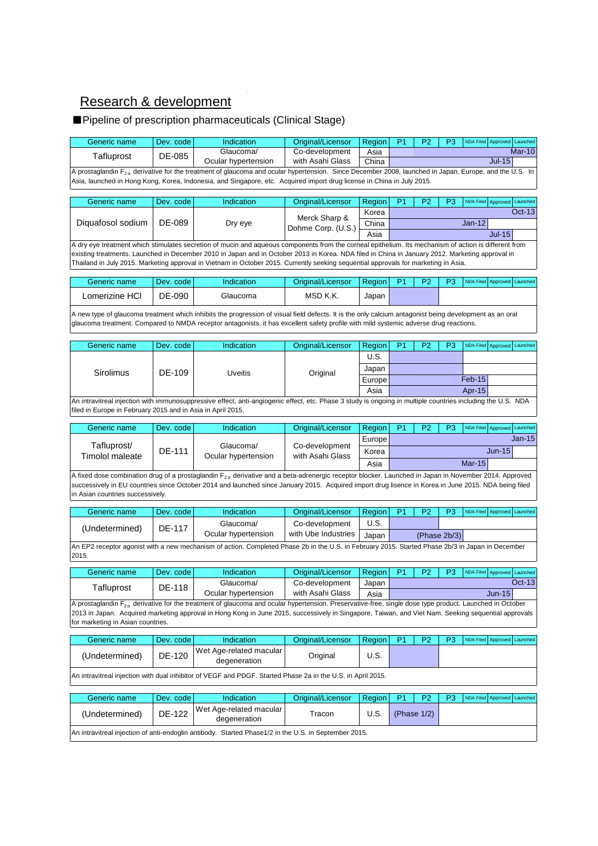## Research & development

## ■Pipeline of prescription pharmaceuticals (Clinical Stage)

| Generic name                                                                                                                                                                                                                                                                                                                                                                                                                                    | Dev. code                                                                                                                                                                                                                  | Indication                                                                                                                                                                                                                                                                                                                | Original/Licensor                  | Region | P <sub>1</sub> | P <sub>2</sub> | P <sub>3</sub> |                  | NDA Filed Approved Launched    |
|-------------------------------------------------------------------------------------------------------------------------------------------------------------------------------------------------------------------------------------------------------------------------------------------------------------------------------------------------------------------------------------------------------------------------------------------------|----------------------------------------------------------------------------------------------------------------------------------------------------------------------------------------------------------------------------|---------------------------------------------------------------------------------------------------------------------------------------------------------------------------------------------------------------------------------------------------------------------------------------------------------------------------|------------------------------------|--------|----------------|----------------|----------------|------------------|--------------------------------|
| Tafluprost                                                                                                                                                                                                                                                                                                                                                                                                                                      | DE-085                                                                                                                                                                                                                     | Glaucoma/                                                                                                                                                                                                                                                                                                                 | Co-development                     | Asia   |                |                |                |                  | Mar-10                         |
|                                                                                                                                                                                                                                                                                                                                                                                                                                                 |                                                                                                                                                                                                                            | Ocular hypertension<br>A prostaglandin F <sub>2a</sub> derivative for the treatment of glaucoma and ocular hypertension. Since December 2008, launched in Japan, Europe, and the U.S. In                                                                                                                                  | with Asahi Glass                   | China  |                |                |                |                  | <b>Jul-15</b>                  |
|                                                                                                                                                                                                                                                                                                                                                                                                                                                 |                                                                                                                                                                                                                            | Asia, launched in Hong Kong, Korea, Indonesia, and Singapore, etc. Acquired import drug license in China in July 2015.                                                                                                                                                                                                    |                                    |        |                |                |                |                  |                                |
| Generic name                                                                                                                                                                                                                                                                                                                                                                                                                                    | Dev. code                                                                                                                                                                                                                  | Indication                                                                                                                                                                                                                                                                                                                | Original/Licensor                  | Region | P <sub>1</sub> | P <sub>2</sub> | P <sub>3</sub> |                  | NDA Filed Approved Launched    |
|                                                                                                                                                                                                                                                                                                                                                                                                                                                 |                                                                                                                                                                                                                            |                                                                                                                                                                                                                                                                                                                           | Merck Sharp &                      | Korea  |                |                |                |                  | Oct-13                         |
| Diquafosol sodium                                                                                                                                                                                                                                                                                                                                                                                                                               | DE-089                                                                                                                                                                                                                     | Dry eye                                                                                                                                                                                                                                                                                                                   | Dohme Corp. (U.S.)                 | China  |                |                |                | $Jan-12$         | <b>Jul-15</b>                  |
|                                                                                                                                                                                                                                                                                                                                                                                                                                                 |                                                                                                                                                                                                                            |                                                                                                                                                                                                                                                                                                                           |                                    | Asia   |                |                |                |                  |                                |
| A dry eye treatment which stimulates secretion of mucin and aqueous components from the corneal epithelium. Its mechanism of action is different from<br>existing treatments. Launched in December 2010 in Japan and in October 2013 in Korea. NDA filed in China in January 2012. Marketing approval in<br>Thailand in July 2015. Marketing approval in Vietnam in October 2015. Currently seeking sequential approvals for marketing in Asia. |                                                                                                                                                                                                                            |                                                                                                                                                                                                                                                                                                                           |                                    |        |                |                |                |                  |                                |
| Generic name                                                                                                                                                                                                                                                                                                                                                                                                                                    | Dev. code                                                                                                                                                                                                                  | Indication                                                                                                                                                                                                                                                                                                                | Original/Licensor                  | Region | P1             | P2             | P <sub>3</sub> | <b>NDA Filed</b> | Approved<br>Launched           |
| Lomerizine HCI                                                                                                                                                                                                                                                                                                                                                                                                                                  | DE-090                                                                                                                                                                                                                     | Glaucoma                                                                                                                                                                                                                                                                                                                  | MSD K.K.                           | Japan  |                |                |                |                  |                                |
|                                                                                                                                                                                                                                                                                                                                                                                                                                                 |                                                                                                                                                                                                                            | A new type of glaucoma treatment which inhibits the progression of visual field defects. It is the only calcium antagonist being development as an oral<br>glaucoma treatment. Compared to NMDA receptor antagonists, it has excellent safety profile with mild systemic adverse drug reactions.                          |                                    |        |                |                |                |                  |                                |
| Generic name                                                                                                                                                                                                                                                                                                                                                                                                                                    | Dev. code                                                                                                                                                                                                                  | Indication                                                                                                                                                                                                                                                                                                                | Original/Licensor                  | Region | P <sub>1</sub> | P <sub>2</sub> | P <sub>3</sub> | <b>NDA Filed</b> | Launched<br>Approved           |
|                                                                                                                                                                                                                                                                                                                                                                                                                                                 |                                                                                                                                                                                                                            |                                                                                                                                                                                                                                                                                                                           |                                    | U.S.   |                |                |                |                  |                                |
| Sirolimus                                                                                                                                                                                                                                                                                                                                                                                                                                       | DE-109                                                                                                                                                                                                                     | <b>Uveitis</b>                                                                                                                                                                                                                                                                                                            | Original                           | Japan  |                |                |                |                  |                                |
|                                                                                                                                                                                                                                                                                                                                                                                                                                                 |                                                                                                                                                                                                                            |                                                                                                                                                                                                                                                                                                                           |                                    | Europe |                |                |                | $Feb-15$         |                                |
|                                                                                                                                                                                                                                                                                                                                                                                                                                                 |                                                                                                                                                                                                                            |                                                                                                                                                                                                                                                                                                                           |                                    | Asia   |                |                |                | Apr-15           |                                |
|                                                                                                                                                                                                                                                                                                                                                                                                                                                 | An intravitreal injection with immunosuppressive effect, anti-angiogenic effect, etc. Phase 3 study is ongoing in multiple countries including the U.S. NDA<br>filed in Europe in February 2015 and in Asia in April 2015. |                                                                                                                                                                                                                                                                                                                           |                                    |        |                |                |                |                  |                                |
| Generic name                                                                                                                                                                                                                                                                                                                                                                                                                                    | Dev. code                                                                                                                                                                                                                  | Indication                                                                                                                                                                                                                                                                                                                | Original/Licensor                  | Region | P <sub>1</sub> | P <sub>2</sub> | P <sub>3</sub> |                  | NDA Filed Approved Launched    |
| Tafluprost/                                                                                                                                                                                                                                                                                                                                                                                                                                     |                                                                                                                                                                                                                            | Glaucoma/                                                                                                                                                                                                                                                                                                                 |                                    | Europe |                |                |                |                  | $Jan-15$                       |
| <b>Timolol maleate</b>                                                                                                                                                                                                                                                                                                                                                                                                                          | DE-111                                                                                                                                                                                                                     | Ocular hypertension                                                                                                                                                                                                                                                                                                       | Co-development<br>with Asahi Glass | Korea  |                |                |                |                  | <b>Jun-15</b>                  |
|                                                                                                                                                                                                                                                                                                                                                                                                                                                 |                                                                                                                                                                                                                            |                                                                                                                                                                                                                                                                                                                           |                                    | Asia   |                |                |                | <b>Mar-15</b>    |                                |
| in Asian countries successively.                                                                                                                                                                                                                                                                                                                                                                                                                |                                                                                                                                                                                                                            | A fixed dose combination drug of a prostaglandin F <sub>2 a</sub> derivative and a beta-adrenergic receptor blocker. Launched in Japan in November 2014. Approved<br>successively in EU countries since October 2014 and launched since January 2015. Acquired import drug lisence in Korea in June 2015. NDA being filed |                                    |        |                |                |                |                  |                                |
| Generic name                                                                                                                                                                                                                                                                                                                                                                                                                                    | Dev. code                                                                                                                                                                                                                  | Indication                                                                                                                                                                                                                                                                                                                | Original/Licensor                  | Region | P1             | P <sub>2</sub> | P <sub>3</sub> |                  | NDA Filed Approved<br>Launched |
|                                                                                                                                                                                                                                                                                                                                                                                                                                                 |                                                                                                                                                                                                                            | Glaucoma/                                                                                                                                                                                                                                                                                                                 | Co-development                     | U.S.   |                |                |                |                  |                                |
| (Undetermined)                                                                                                                                                                                                                                                                                                                                                                                                                                  | DE-117                                                                                                                                                                                                                     | Ocular hypertension                                                                                                                                                                                                                                                                                                       | with Ube Industries                | Japan  |                |                | (Phase 2b/3)   |                  |                                |
|                                                                                                                                                                                                                                                                                                                                                                                                                                                 |                                                                                                                                                                                                                            | An EP2 receptor agonist with a new mechanism of action. Completed Phase 2b in the U.S. in February 2015. Started Phase 2b/3 in Japan in December                                                                                                                                                                          |                                    |        |                |                |                |                  |                                |
| 2015.                                                                                                                                                                                                                                                                                                                                                                                                                                           |                                                                                                                                                                                                                            |                                                                                                                                                                                                                                                                                                                           |                                    |        |                |                |                |                  |                                |
| Generic name                                                                                                                                                                                                                                                                                                                                                                                                                                    | Dev. code                                                                                                                                                                                                                  | Indication                                                                                                                                                                                                                                                                                                                | Original/Licensor                  | Region | P <sub>1</sub> | P <sub>2</sub> | P <sub>3</sub> |                  | NDA Filed Approved Launched    |
| Tafluprost                                                                                                                                                                                                                                                                                                                                                                                                                                      | DE-118                                                                                                                                                                                                                     | Glaucoma/                                                                                                                                                                                                                                                                                                                 | Co-development                     | Japan  |                |                |                |                  | $Oct-13$                       |
|                                                                                                                                                                                                                                                                                                                                                                                                                                                 |                                                                                                                                                                                                                            | Ocular hypertension<br>A prostaglandin $F_{2\alpha}$ derivative for the treatment of glaucoma and ocular hypertension. Preservative-free, single dose type product. Launched in October                                                                                                                                   | with Asahi Glass                   | Asia   |                |                |                |                  | $Jun-15$                       |
| for marketing in Asian countries.                                                                                                                                                                                                                                                                                                                                                                                                               |                                                                                                                                                                                                                            | 2013 in Japan. Acquired marketing approval in Hong Kong in June 2015, successively in Singapore, Taiwan, and Viet Nam. Seeking sequential approvals                                                                                                                                                                       |                                    |        |                |                |                |                  |                                |
| Generic name                                                                                                                                                                                                                                                                                                                                                                                                                                    | Dev. code                                                                                                                                                                                                                  | Indication                                                                                                                                                                                                                                                                                                                | Original/Licensor                  | Region | P <sub>1</sub> | P <sub>2</sub> | P <sub>3</sub> |                  | NDA Filed Approved Launched    |
| (Undetermined)                                                                                                                                                                                                                                                                                                                                                                                                                                  | DE-120                                                                                                                                                                                                                     | Wet Age-related macular<br>degeneration                                                                                                                                                                                                                                                                                   | Original                           | U.S.   |                |                |                |                  |                                |
| An intravitreal injection with dual inhibitor of VEGF and PDGF. Started Phase 2a in the U.S. in April 2015.                                                                                                                                                                                                                                                                                                                                     |                                                                                                                                                                                                                            |                                                                                                                                                                                                                                                                                                                           |                                    |        |                |                |                |                  |                                |
| Generic name                                                                                                                                                                                                                                                                                                                                                                                                                                    | Dev. code                                                                                                                                                                                                                  | Indication                                                                                                                                                                                                                                                                                                                | Original/Licensor                  | Region | P1             | P <sub>2</sub> | P3             | <b>NDA Filed</b> | Approved<br>Launched           |
| (Undetermined)                                                                                                                                                                                                                                                                                                                                                                                                                                  | DE-122                                                                                                                                                                                                                     | Wet Age-related macular<br>degeneration                                                                                                                                                                                                                                                                                   | Tracon                             | U.S.   |                | (Phase $1/2$ ) |                |                  |                                |
|                                                                                                                                                                                                                                                                                                                                                                                                                                                 |                                                                                                                                                                                                                            | An intravitreal injection of anti-endoglin antibody. Started Phase1/2 in the U.S. in September 2015.                                                                                                                                                                                                                      |                                    |        |                |                |                |                  |                                |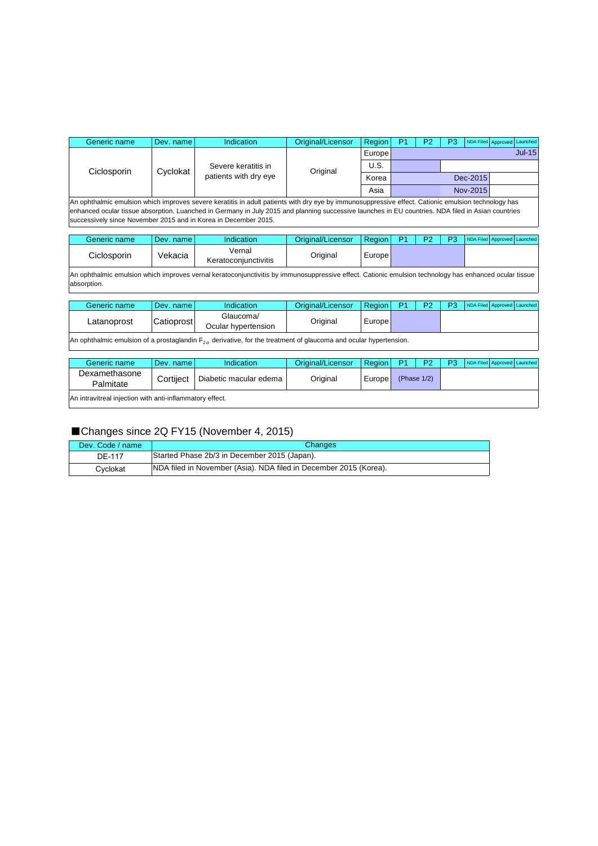| Generic name                                                                                                                                                                                                                                                                                                                                                                 | Dev. name | Indication                                   | Original/Licensor | Region        |  | P2 | P3 |          | NDA Filed Approved Launched |  |
|------------------------------------------------------------------------------------------------------------------------------------------------------------------------------------------------------------------------------------------------------------------------------------------------------------------------------------------------------------------------------|-----------|----------------------------------------------|-------------------|---------------|--|----|----|----------|-----------------------------|--|
| Ciclosporin                                                                                                                                                                                                                                                                                                                                                                  | Cyclokat  | Severe keratitis in<br>patients with dry eye | Original          | <b>Europe</b> |  |    |    |          | $Jul-15$                    |  |
|                                                                                                                                                                                                                                                                                                                                                                              |           |                                              |                   | U.S.          |  |    |    |          |                             |  |
|                                                                                                                                                                                                                                                                                                                                                                              |           |                                              |                   | Korea         |  |    |    | Dec-2015 |                             |  |
|                                                                                                                                                                                                                                                                                                                                                                              |           |                                              |                   | Asia          |  |    |    | Nov-2015 |                             |  |
| An ophthalmic emulsion which improves severe keratitis in adult patients with dry eye by immunosuppressive effect. Cationic emulsion technology has<br>enhanced ocular tissue absorption. Luanched in Germany in July 2015 and planning successive launches in EU countries. NDA filed in Asian countries<br>successively since November 2015 and in Korea in December 2015. |           |                                              |                   |               |  |    |    |          |                             |  |

Generic name Dev. name Indication Original/Licensor Region P1 P2 P3 NDA Filed Approved Launch Ciclosporin Vekacia Vernal Keratoconjunctivitis Original Europe

An ophthalmic emulsion which improves vernal keratoconjunctivitis by immunosuppressive effect. Cationic emulsion technology has enhanced ocular tissue absorption.

| Generic name | Dev. name l | Indication                       | Original/Licensor | <b>Region</b> | D <sub>2</sub> | <b>D2</b> | NDA Filed Approved Launched |  |
|--------------|-------------|----------------------------------|-------------------|---------------|----------------|-----------|-----------------------------|--|
| Latanoprost  | Catioprost  | Glaucoma/<br>Ocular hypertension | Original          | Europe        |                |           |                             |  |
|              |             |                                  |                   |               |                |           |                             |  |

An ophthalmic emulsion of a prostaglandin  $F_{2\alpha}$  derivative, for the treatment of glaucoma and ocular hypertension.

| Generic name                                             | Dev. name l | Indication             | Original/Licensor | Region              | - P1           | P <sub>2</sub> | P3 | NDA Filed Approved Launched |  |  |
|----------------------------------------------------------|-------------|------------------------|-------------------|---------------------|----------------|----------------|----|-----------------------------|--|--|
| Dexamethasone<br>Palmitate                               | Cortilect   | Diabetic macular edema | Original          | Europe <sup>l</sup> | (Phase $1/2$ ) |                |    |                             |  |  |
| An intravitreal injection with anti-inflammatory effect. |             |                        |                   |                     |                |                |    |                             |  |  |

### ■Changes since 2Q FY15 (November 4, 2015)

| Dev. Code / name | <b>Changes</b>                                                    |
|------------------|-------------------------------------------------------------------|
| DE-117           | Started Phase 2b/3 in December 2015 (Japan).                      |
| Cvclokat         | NDA filed in November (Asia). NDA filed in December 2015 (Korea). |